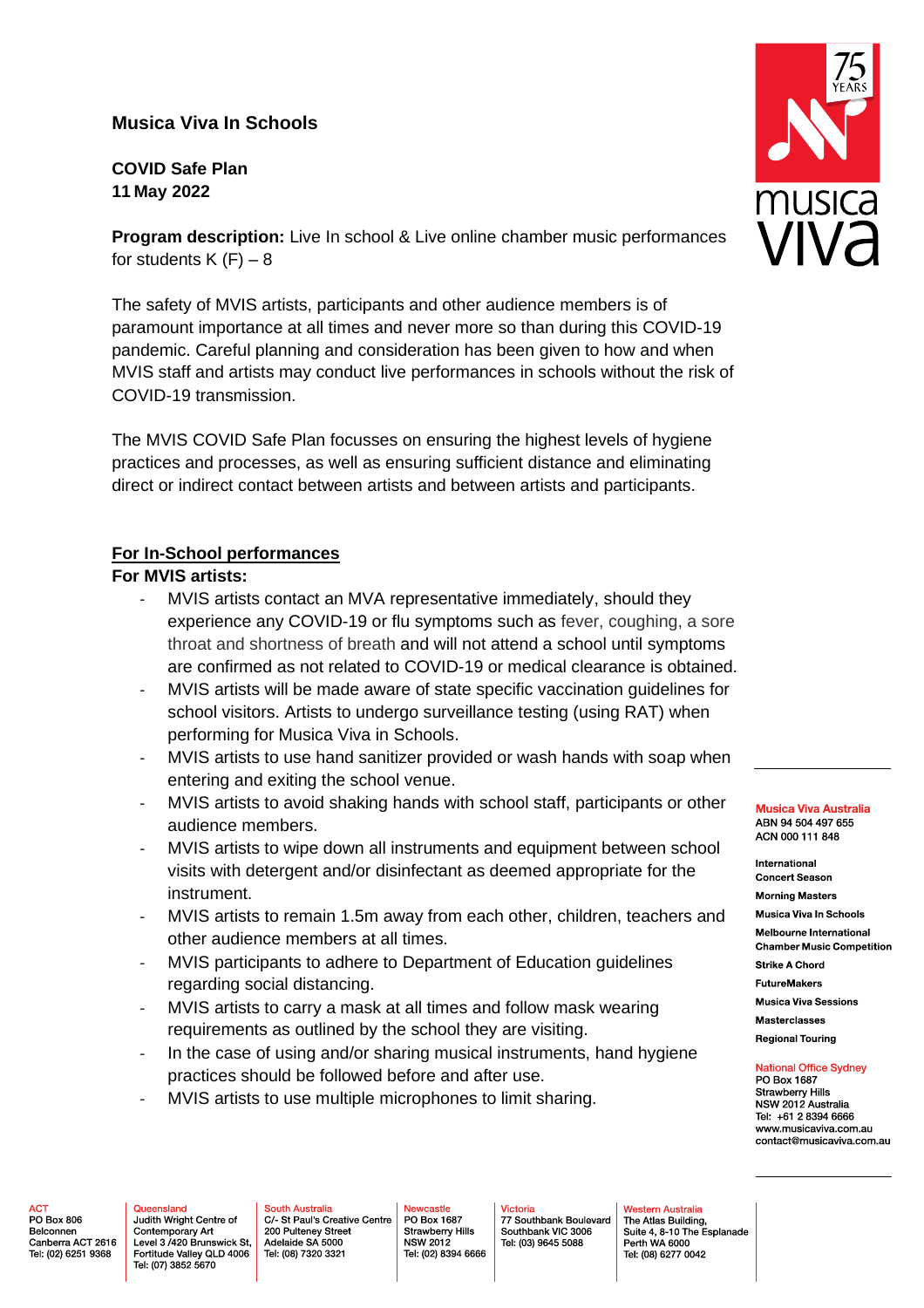# **Musica Viva In Schools**

**COVID Safe Plan 11 May 2022**

**Program description:** Live In school & Live online chamber music performances for students  $K$  (F)  $-8$ 

The safety of MVIS artists, participants and other audience members is of paramount importance at all times and never more so than during this COVID-19 pandemic. Careful planning and consideration has been given to how and when MVIS staff and artists may conduct live performances in schools without the risk of COVID-19 transmission.

The MVIS COVID Safe Plan focusses on ensuring the highest levels of hygiene practices and processes, as well as ensuring sufficient distance and eliminating direct or indirect contact between artists and between artists and participants.

## **For In-School performances**

## **For MVIS artists:**

- MVIS artists contact an MVA representative immediately, should they experience any COVID-19 or flu symptoms such as fever, coughing, a sore throat and shortness of breath and will not attend a school until symptoms are confirmed as not related to COVID-19 or medical clearance is obtained.
- MVIS artists will be made aware of state specific vaccination guidelines for school visitors. Artists to undergo surveillance testing (using RAT) when performing for Musica Viva in Schools.
- MVIS artists to use hand sanitizer provided or wash hands with soap when entering and exiting the school venue.
- MVIS artists to avoid shaking hands with school staff, participants or other audience members.
- MVIS artists to wipe down all instruments and equipment between school visits with detergent and/or disinfectant as deemed appropriate for the instrument.
- MVIS artists to remain 1.5m away from each other, children, teachers and other audience members at all times.
- MVIS participants to adhere to Department of Education guidelines regarding social distancing.
- MVIS artists to carry a mask at all times and follow mask wearing requirements as outlined by the school they are visiting.
- In the case of using and/or sharing musical instruments, hand hygiene practices should be followed before and after use.
- MVIS artists to use multiple microphones to limit sharing.

#### **Musica Viva Australia** ABN 94 504 497 655 ACN 000 111 848

International **Concert Season** 

**Morning Masters** 

Musica Viva In Schools Melbourne International

**Chamber Music Competition** 

**Strike A Chord FutureMakers** 

**Musica Viva Sessions** 

**Masterclasses** 

**Regional Touring** 

# **National Office Sydney**

PO Box 1687 Strawberry Hills NSW 2012 Australia Tel: +61 2 8394 6666 www.musicaviva.com.au contact@musicaviva.com.au

**ACT** PO Box 806 Belconnen Canberra ACT 2616 Tel: (02) 6251 9368

Queensland Judith Wright Centre of Contemporary Art Level 3 /420 Brunswick St, Fortitude Valley QLD 4006 Tel: (07) 3852 5670

**South Australia** C/ St Paul's Creative Centre 200 Pulteney Street Adelaide SA 5000 Tel: (08) 7320 3321

ewcastle PO Box 1687 Strawberry Hills<br>NSW 2012 Tel: (02) 8394 6666

Victoria 77 Southbank Boulevard Southbank VIC 3006 Tel: (03) 9645 5088

Western Australia The Atlas Building, Perth WA 6000

Suite 4, 8-10 The Esplanade Tel: (08) 6277 0042